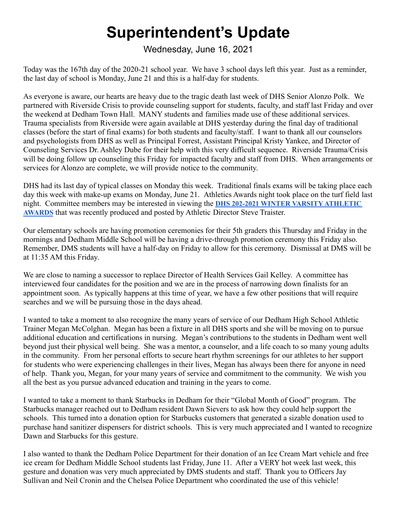## **Superintendent's Update**

Wednesday, June 16, 2021

Today was the 167th day of the 2020-21 school year. We have 3 school days left this year. Just as a reminder, the last day of school is Monday, June 21 and this is a half-day for students.

As everyone is aware, our hearts are heavy due to the tragic death last week of DHS Senior Alonzo Polk. We partnered with Riverside Crisis to provide counseling support for students, faculty, and staff last Friday and over the weekend at Dedham Town Hall. MANY students and families made use of these additional services. Trauma specialists from Riverside were again available at DHS yesterday during the final day of traditional classes (before the start of final exams) for both students and faculty/staff. I want to thank all our counselors and psychologists from DHS as well as Principal Forrest, Assistant Principal Kristy Yankee, and Director of Counseling Services Dr. Ashley Dube for their help with this very difficult sequence. Riverside Trauma/Crisis will be doing follow up counseling this Friday for impacted faculty and staff from DHS. When arrangements or services for Alonzo are complete, we will provide notice to the community.

DHS had its last day of typical classes on Monday this week. Traditional finals exams will be taking place each day this week with make-up exams on Monday, June 21. Athletics Awards night took place on the turf field last night. Committee members may be interested in viewing the **DHS 202-2021 WINTER VARSITY [ATHLETIC](https://drive.google.com/file/d/1GHIhJKDbxMOGcdvALAH45gD3O9XwLNr6/view?ts=60afe183) [AWARDS](https://drive.google.com/file/d/1GHIhJKDbxMOGcdvALAH45gD3O9XwLNr6/view?ts=60afe183)** that was recently produced and posted by Athletic Director Steve Traister.

Our elementary schools are having promotion ceremonies for their 5th graders this Thursday and Friday in the mornings and Dedham Middle School will be having a drive-through promotion ceremony this Friday also. Remember, DMS students will have a half-day on Friday to allow for this ceremony. Dismissal at DMS will be at 11:35 AM this Friday.

We are close to naming a successor to replace Director of Health Services Gail Kelley. A committee has interviewed four candidates for the position and we are in the process of narrowing down finalists for an appointment soon. As typically happens at this time of year, we have a few other positions that will require searches and we will be pursuing those in the days ahead.

I wanted to take a moment to also recognize the many years of service of our Dedham High School Athletic Trainer Megan McColghan. Megan has been a fixture in all DHS sports and she will be moving on to pursue additional education and certifications in nursing. Megan's contributions to the students in Dedham went well beyond just their physical well being. She was a mentor, a counselor, and a life coach to so many young adults in the community. From her personal efforts to secure heart rhythm screenings for our athletes to her support for students who were experiencing challenges in their lives, Megan has always been there for anyone in need of help. Thank you, Megan, for your many years of service and commitment to the community. We wish you all the best as you pursue advanced education and training in the years to come.

I wanted to take a moment to thank Starbucks in Dedham for their "Global Month of Good" program. The Starbucks manager reached out to Dedham resident Dawn Sievers to ask how they could help support the schools. This turned into a donation option for Starbucks customers that generated a sizable donation used to purchase hand sanitizer dispensers for district schools. This is very much appreciated and I wanted to recognize Dawn and Starbucks for this gesture.

I also wanted to thank the Dedham Police Department for their donation of an Ice Cream Mart vehicle and free ice cream for Dedham Middle School students last Friday, June 11. After a VERY hot week last week, this gesture and donation was very much appreciated by DMS students and staff. Thank you to Officers Jay Sullivan and Neil Cronin and the Chelsea Police Department who coordinated the use of this vehicle!